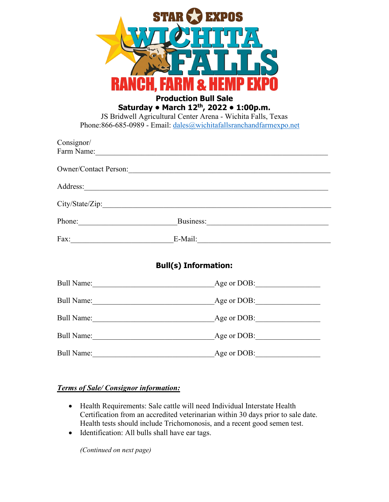| <b>EXPOS</b>      |                                                                                                                                                                                            |  |
|-------------------|--------------------------------------------------------------------------------------------------------------------------------------------------------------------------------------------|--|
|                   |                                                                                                                                                                                            |  |
|                   |                                                                                                                                                                                            |  |
|                   | <b>Production Bull Sale</b>                                                                                                                                                                |  |
|                   | Saturday • March 12 <sup>th</sup> , 2022 • 1:00p.m.<br>JS Bridwell Agricultural Center Arena - Wichita Falls, Texas<br>Phone: 866-685-0989 - Email: dales@wichitafallsranchandfarmexpo.net |  |
| Consignor/        | Farm Name:                                                                                                                                                                                 |  |
|                   | Owner/Contact Person:                                                                                                                                                                      |  |
| Address:          | <u> 1989 - Johann Stoff, deutscher Stoff, der Stoff, der Stoff, der Stoff, der Stoff, der Stoff, der Stoff, der S</u>                                                                      |  |
|                   |                                                                                                                                                                                            |  |
|                   | Phone: Business: Business:                                                                                                                                                                 |  |
|                   |                                                                                                                                                                                            |  |
|                   | <b>Bull(s) Information:</b>                                                                                                                                                                |  |
| <b>Bull Name:</b> | Age or DOB:                                                                                                                                                                                |  |
| Bull Name:        | Age or DOB:                                                                                                                                                                                |  |
| Bull Name: 1988   | Age or DOB:                                                                                                                                                                                |  |
| Bull Name: 1988   | Age or DOB:                                                                                                                                                                                |  |
| <b>Bull Name:</b> | Age or DOB:                                                                                                                                                                                |  |

## *Terms of Sale/ Consignor information:*

- Health Requirements: Sale cattle will need Individual Interstate Health Certification from an accredited veterinarian within 30 days prior to sale date. Health tests should include Trichomonosis, and a recent good semen test.
- Identification: All bulls shall have ear tags.

*(Continued on next page)*